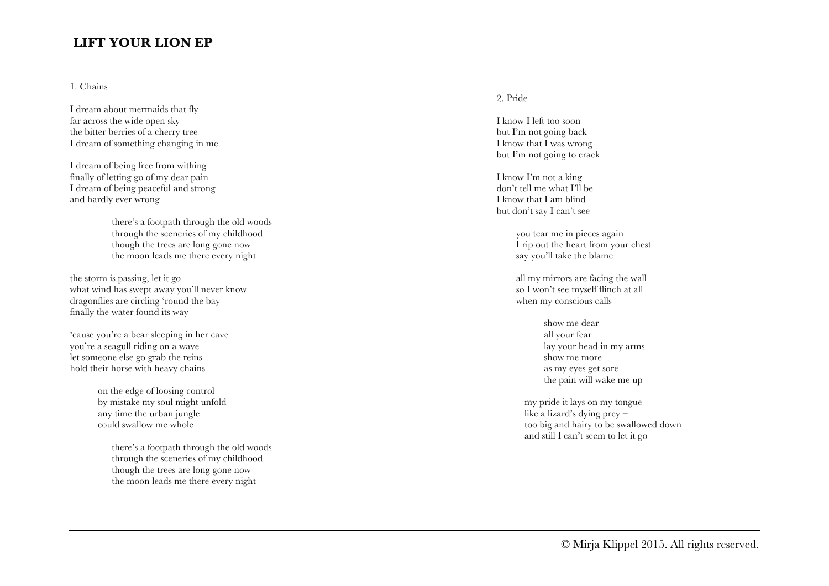# **LIFT YOUR LION EP**

### 1. Chains

I dream about mermaids that fly far across the wide open sky the bitter berries of a cherry tree I dream of something changing in me

I dream of being free from withing finally of letting go of my dear pain I dream of being peaceful and strong and hardly ever wrong

> there's a footpath through the old woods through the sceneries of my childhood though the trees are long gone now the moon leads me there every night

the storm is passing, let it go what wind has swept away you'll never know dragonflies are circling 'round the bay finally the water found its way

'cause you're a bear sleeping in her cave you're a seagull riding on a wave let someone else go grab the reins hold their horse with heavy chains

> on the edge of loosing control by mistake my soul might unfold any time the urban jungle could swallow me whole

> > there's a footpath through the old woods through the sceneries of my childhood though the trees are long gone now the moon leads me there every night

#### 2. Pride

I know I left too soon but I'm not going back I know that I was wrong but I'm not going to crack

I know I'm not a king don't tell me what I'll be I know that I am blind but don't say I can't see

> you tear me in pieces again I rip out the heart from your chest say you'll take the blame

all my mirrors are facing the wall so I won't see myself flinch at all when my conscious calls

> show me dear all your fear lay your head in my arms show me more as my eyes get sore the pain will wake me up

my pride it lays on my tongue like a lizard's dying prey – too big and hairy to be swallowed down and still I can't seem to let it go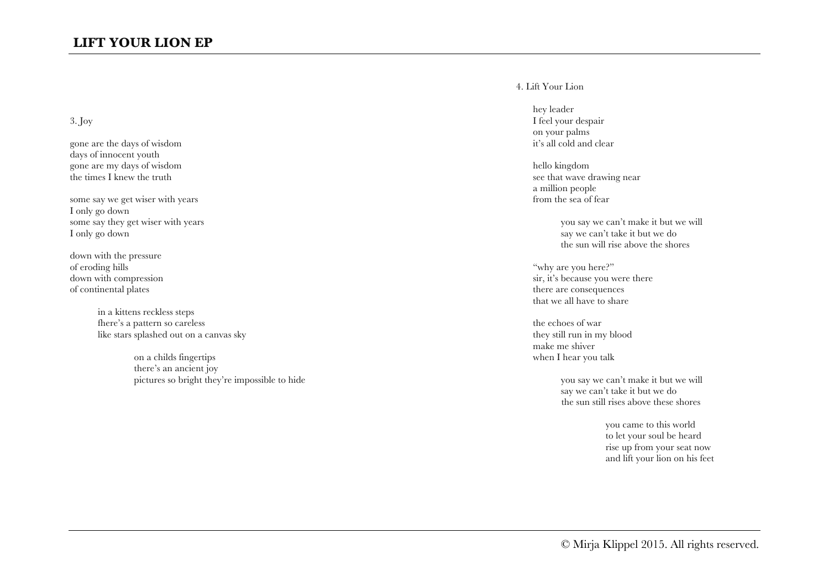# 3. Joy

gone are the days of wisdom days of innocent youth gone are my days of wisdom the times I knew the truth

some say we get wiser with years I only go down some say they get wiser with years I only go down

down with the pressure of eroding hills down with compression of continental plates

> in a kittens reckless steps fhere's a pattern so careless like stars splashed out on a canvas sky

> > on a childs fingertips there's an ancient joy pictures so bright they're impossible to hide

### 4. Lift Your Lion

hey leader I feel your despair on your palms it's all cold and clear

hello kingdom see that wave drawing near a million people from the sea of fear

> you say we can't make it but we will say we can't take it but we do the sun will rise above the shores

"why are you here?" sir, it's because you were there there are consequences that we all have to share

the echoes of war they still run in my blood make me shiver when I hear you talk

> you say we can't make it but we will say we can't take it but we do the sun still rises above these shores

> > you came to this world to let your soul be heard rise up from your seat now and lift your lion on his feet